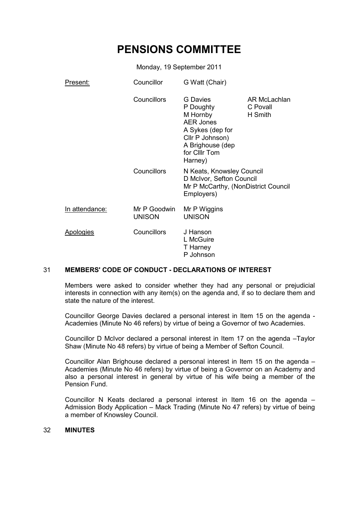# **PENSIONS COMMITTEE**

Monday, 19 September 2011

| Present:         | Councillor                    | G Watt (Chair)                                                                                                                                      |                                     |  |
|------------------|-------------------------------|-----------------------------------------------------------------------------------------------------------------------------------------------------|-------------------------------------|--|
|                  | <b>Councillors</b>            | <b>G</b> Davies<br>P Doughty<br>M Hornby<br><b>AER Jones</b><br>A Sykes (dep for<br>Cllr P Johnson)<br>A Brighouse (dep<br>for CIIIr Tom<br>Harney) | AR McLachlan<br>C Povall<br>H Smith |  |
|                  | <b>Councillors</b>            | N Keats, Knowsley Council<br>D McIvor, Sefton Council<br>Employers)                                                                                 | Mr P McCarthy, (NonDistrict Council |  |
| In attendance:   | Mr P Goodwin<br><b>UNISON</b> | Mr P Wiggins<br><b>UNISON</b>                                                                                                                       |                                     |  |
| <b>Apologies</b> | <b>Councillors</b>            | J Hanson<br>L McGuire<br>T Harney<br>P Johnson                                                                                                      |                                     |  |

# 31 **MEMBERS' CODE OF CONDUCT - DECLARATIONS OF INTEREST**

Members were asked to consider whether they had any personal or prejudicial interests in connection with any item(s) on the agenda and, if so to declare them and state the nature of the interest.

Councillor George Davies declared a personal interest in Item 15 on the agenda - Academies (Minute No 46 refers) by virtue of being a Governor of two Academies.

Councillor D McIvor declared a personal interest in Item 17 on the agenda –Taylor Shaw (Minute No 48 refers) by virtue of being a Member of Sefton Council.

Councillor Alan Brighouse declared a personal interest in Item 15 on the agenda – Academies (Minute No 46 refers) by virtue of being a Governor on an Academy and also a personal interest in general by virtue of his wife being a member of the Pension Fund.

Councillor N Keats declared a personal interest in Item 16 on the agenda – Admission Body Application – Mack Trading (Minute No 47 refers) by virtue of being a member of Knowsley Council.

## 32 **MINUTES**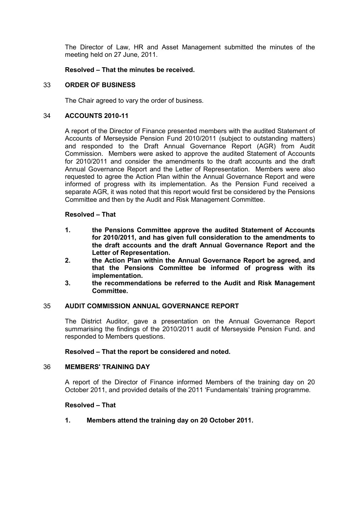The Director of Law, HR and Asset Management submitted the minutes of the meeting held on 27 June, 2011.

# **Resolved – That the minutes be received.**

# 33 **ORDER OF BUSINESS**

The Chair agreed to vary the order of business.

# 34 **ACCOUNTS 2010-11**

A report of the Director of Finance presented members with the audited Statement of Accounts of Merseyside Pension Fund 2010/2011 (subject to outstanding matters) and responded to the Draft Annual Governance Report (AGR) from Audit Commission. Members were asked to approve the audited Statement of Accounts for 2010/2011 and consider the amendments to the draft accounts and the draft Annual Governance Report and the Letter of Representation. Members were also requested to agree the Action Plan within the Annual Governance Report and were informed of progress with its implementation. As the Pension Fund received a separate AGR, it was noted that this report would first be considered by the Pensions Committee and then by the Audit and Risk Management Committee.

# **Resolved – That**

- **1. the Pensions Committee approve the audited Statement of Accounts for 2010/2011, and has given full consideration to the amendments to the draft accounts and the draft Annual Governance Report and the Letter of Representation.**
- **2. the Action Plan within the Annual Governance Report be agreed, and that the Pensions Committee be informed of progress with its implementation.**
- **3. the recommendations be referred to the Audit and Risk Management Committee.**

# 35 **AUDIT COMMISSION ANNUAL GOVERNANCE REPORT**

The District Auditor, gave a presentation on the Annual Governance Report summarising the findings of the 2010/2011 audit of Merseyside Pension Fund. and responded to Members questions.

## **Resolved – That the report be considered and noted.**

## 36 **MEMBERS' TRAINING DAY**

A report of the Director of Finance informed Members of the training day on 20 October 2011, and provided details of the 2011 'Fundamentals' training programme.

# **Resolved – That**

## **1. Members attend the training day on 20 October 2011.**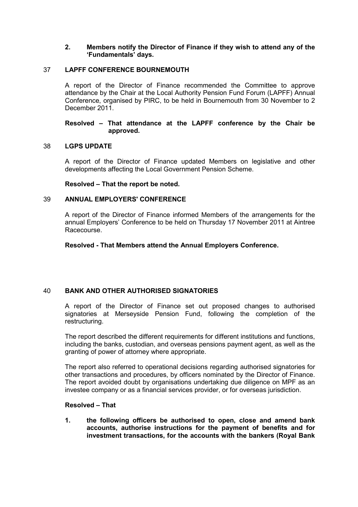# **2. Members notify the Director of Finance if they wish to attend any of the 'Fundamentals' days.**

# 37 **LAPFF CONFERENCE BOURNEMOUTH**

A report of the Director of Finance recommended the Committee to approve attendance by the Chair at the Local Authority Pension Fund Forum (LAPFF) Annual Conference, organised by PIRC, to be held in Bournemouth from 30 November to 2 December 2011.

# **Resolved – That attendance at the LAPFF conference by the Chair be approved.**

# 38 **LGPS UPDATE**

A report of the Director of Finance updated Members on legislative and other developments affecting the Local Government Pension Scheme.

# **Resolved – That the report be noted.**

# 39 **ANNUAL EMPLOYERS' CONFERENCE**

A report of the Director of Finance informed Members of the arrangements for the annual Employers' Conference to be held on Thursday 17 November 2011 at Aintree Racecourse.

# **Resolved - That Members attend the Annual Employers Conference.**

# 40 **BANK AND OTHER AUTHORISED SIGNATORIES**

A report of the Director of Finance set out proposed changes to authorised signatories at Merseyside Pension Fund, following the completion of the restructuring.

The report described the different requirements for different institutions and functions, including the banks, custodian, and overseas pensions payment agent, as well as the granting of power of attorney where appropriate.

The report also referred to operational decisions regarding authorised signatories for other transactions and procedures, by officers nominated by the Director of Finance. The report avoided doubt by organisations undertaking due diligence on MPF as an investee company or as a financial services provider, or for overseas jurisdiction.

# **Resolved – That**

**1. the following officers be authorised to open, close and amend bank accounts, authorise instructions for the payment of benefits and for investment transactions, for the accounts with the bankers (Royal Bank**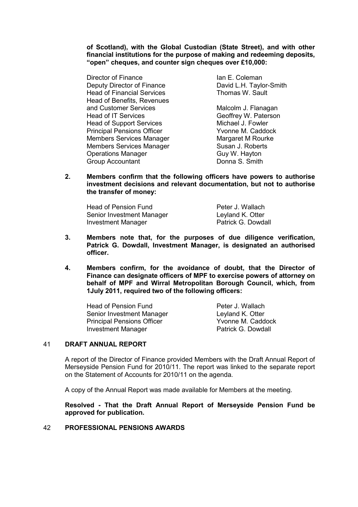**of Scotland), with the Global Custodian (State Street), and with other financial institutions for the purpose of making and redeeming deposits, "open" cheques, and counter sign cheques over £10,000:** 

Director of Finance **Ian E. Coleman** Deputy Director of Finance David L.H. Taylor-Smith Head of Financial Services Thomas W. Sault Head of Benefits, Revenues and Customer Services Malcolm J. Flanagan Head of IT Services<br>
Head of Support Services<br>
Head of Support Services<br>
Head of Support Services<br>
Head of Support Services Head of Support Services Principal Pensions Officer The M. Caddock Members Services Manager Manager Margaret M Rourke Members Services Manager Susan J. Roberts Operations Manager Guy W. Hayton<br>
Group Accountant Group Conna S. Smith Group Accountant

**2. Members confirm that the following officers have powers to authorise investment decisions and relevant documentation, but not to authorise the transfer of money:** 

| Head of Pension Fund      | Peter J. Wallach   |
|---------------------------|--------------------|
| Senior Investment Manager | Leyland K. Otter   |
| Investment Manager        | Patrick G. Dowdall |

- **3. Members note that, for the purposes of due diligence verification, Patrick G. Dowdall, Investment Manager, is designated an authorised officer.**
- **4. Members confirm, for the avoidance of doubt, that the Director of Finance can designate officers of MPF to exercise powers of attorney on behalf of MPF and Wirral Metropolitan Borough Council, which, from 1July 2011, required two of the following officers:**

Head of Pension Fund<br>
Senior Investment Manager<br>
Levland K. Otter Senior Investment Manager<br>
Principal Pensions Officer<br>
Principal Pensions Officer<br>
Yvonne M Caddock Principal Pensions Officer The Structure M. Caddock Investment Manager<br>
Patrick G. Dowdall Investment Manager

# 41 **DRAFT ANNUAL REPORT**

A report of the Director of Finance provided Members with the Draft Annual Report of Merseyside Pension Fund for 2010/11. The report was linked to the separate report on the Statement of Accounts for 2010/11 on the agenda.

A copy of the Annual Report was made available for Members at the meeting.

**Resolved - That the Draft Annual Report of Merseyside Pension Fund be approved for publication.** 

## 42 **PROFESSIONAL PENSIONS AWARDS**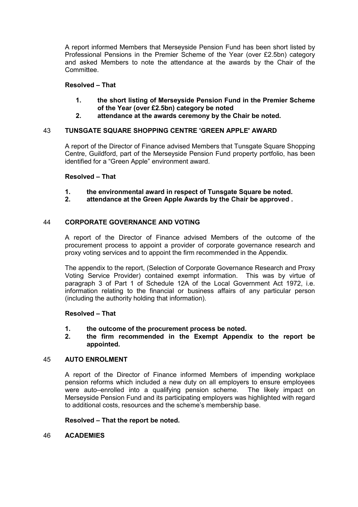A report informed Members that Merseyside Pension Fund has been short listed by Professional Pensions in the Premier Scheme of the Year (over £2.5bn) category and asked Members to note the attendance at the awards by the Chair of the **Committee.** 

# **Resolved – That**

- **1. the short listing of Merseyside Pension Fund in the Premier Scheme of the Year (over £2.5bn) category be noted**
- **2. attendance at the awards ceremony by the Chair be noted.**

# 43 **TUNSGATE SQUARE SHOPPING CENTRE 'GREEN APPLE' AWARD**

A report of the Director of Finance advised Members that Tunsgate Square Shopping Centre, Guildford, part of the Merseyside Pension Fund property portfolio, has been identified for a "Green Apple" environment award.

# **Resolved – That**

- **1. the environmental award in respect of Tunsgate Square be noted.**
- **2. attendance at the Green Apple Awards by the Chair be approved .**

# 44 **CORPORATE GOVERNANCE AND VOTING**

A report of the Director of Finance advised Members of the outcome of the procurement process to appoint a provider of corporate governance research and proxy voting services and to appoint the firm recommended in the Appendix.

The appendix to the report, (Selection of Corporate Governance Research and Proxy Voting Service Provider) contained exempt information. This was by virtue of paragraph 3 of Part 1 of Schedule 12A of the Local Government Act 1972, i.e. information relating to the financial or business affairs of any particular person (including the authority holding that information).

# **Resolved – That**

**1. the outcome of the procurement process be noted.**

# **2. the firm recommended in the Exempt Appendix to the report be appointed.**

# 45 **AUTO ENROLMENT**

A report of the Director of Finance informed Members of impending workplace pension reforms which included a new duty on all employers to ensure employees were auto–enrolled into a qualifying pension scheme. The likely impact on Merseyside Pension Fund and its participating employers was highlighted with regard to additional costs, resources and the scheme's membership base.

## **Resolved – That the report be noted.**

# 46 **ACADEMIES**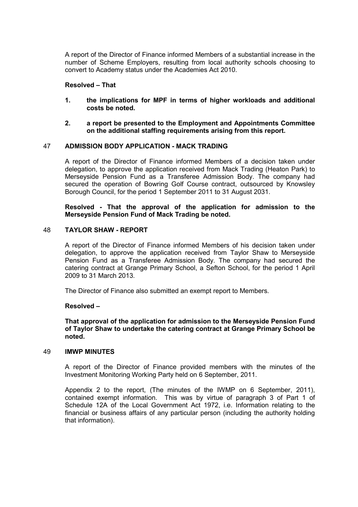A report of the Director of Finance informed Members of a substantial increase in the number of Scheme Employers, resulting from local authority schools choosing to convert to Academy status under the Academies Act 2010.

## **Resolved – That**

- **1. the implications for MPF in terms of higher workloads and additional costs be noted.**
- **2. a report be presented to the Employment and Appointments Committee on the additional staffing requirements arising from this report.**

## 47 **ADMISSION BODY APPLICATION - MACK TRADING**

A report of the Director of Finance informed Members of a decision taken under delegation, to approve the application received from Mack Trading (Heaton Park) to Merseyside Pension Fund as a Transferee Admission Body. The company had secured the operation of Bowring Golf Course contract, outsourced by Knowsley Borough Council, for the period 1 September 2011 to 31 August 2031.

# **Resolved - That the approval of the application for admission to the Merseyside Pension Fund of Mack Trading be noted.**

# 48 **TAYLOR SHAW - REPORT**

A report of the Director of Finance informed Members of his decision taken under delegation, to approve the application received from Taylor Shaw to Merseyside Pension Fund as a Transferee Admission Body. The company had secured the catering contract at Grange Primary School, a Sefton School, for the period 1 April 2009 to 31 March 2013.

The Director of Finance also submitted an exempt report to Members.

#### **Resolved –**

**That approval of the application for admission to the Merseyside Pension Fund of Taylor Shaw to undertake the catering contract at Grange Primary School be noted.** 

#### 49 **IMWP MINUTES**

A report of the Director of Finance provided members with the minutes of the Investment Monitoring Working Party held on 6 September, 2011.

Appendix 2 to the report, (The minutes of the IWMP on 6 September, 2011), contained exempt information. This was by virtue of paragraph 3 of Part 1 of Schedule 12A of the Local Government Act 1972, i.e. Information relating to the financial or business affairs of any particular person (including the authority holding that information).